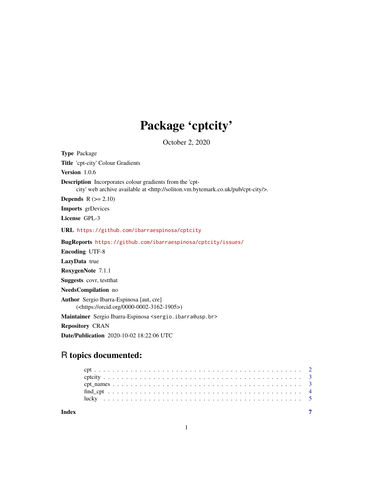## Package 'cptcity'

October 2, 2020

<span id="page-0-0"></span>Type Package Title 'cpt-city' Colour Gradients Version 1.0.6 Description Incorporates colour gradients from the 'cptcity' web archive available at <http://soliton.vm.bytemark.co.uk/pub/cpt-city/>. **Depends**  $R$  ( $>= 2.10$ ) Imports grDevices License GPL-3 URL <https://github.com/ibarraespinosa/cptcity> BugReports <https://github.com/ibarraespinosa/cptcity/issues/> Encoding UTF-8 LazyData true RoxygenNote 7.1.1 Suggests covr, testthat NeedsCompilation no Author Sergio Ibarra-Espinosa [aut, cre] (<https://orcid.org/0000-0002-3162-1905>) Maintainer Sergio Ibarra-Espinosa <sergio.ibarra@usp.br> Repository CRAN

Date/Publication 2020-10-02 18:22:06 UTC

### R topics documented:

| Index |  |  |  |  |  |  |  |  |  |  |  |  |  |  |  |  |  |  |  |  |  |
|-------|--|--|--|--|--|--|--|--|--|--|--|--|--|--|--|--|--|--|--|--|--|
|       |  |  |  |  |  |  |  |  |  |  |  |  |  |  |  |  |  |  |  |  |  |
|       |  |  |  |  |  |  |  |  |  |  |  |  |  |  |  |  |  |  |  |  |  |
|       |  |  |  |  |  |  |  |  |  |  |  |  |  |  |  |  |  |  |  |  |  |
|       |  |  |  |  |  |  |  |  |  |  |  |  |  |  |  |  |  |  |  |  |  |
|       |  |  |  |  |  |  |  |  |  |  |  |  |  |  |  |  |  |  |  |  |  |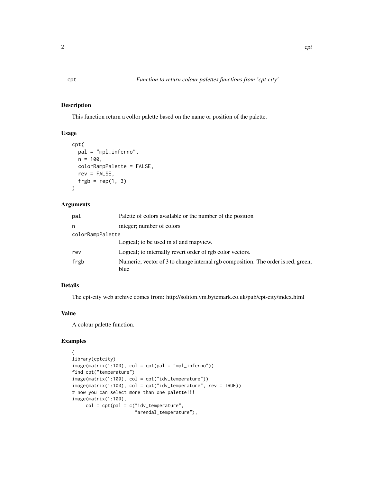#### <span id="page-1-1"></span><span id="page-1-0"></span>Description

This function return a collor palette based on the name or position of the palette.

#### Usage

```
cpt(
 pal = "mpl_inferno",
 n = 100,colorRampPalette = FALSE,
 rev = FALSE,
  frgb = rep(1, 3))
```
#### Arguments

| pal              | Palette of colors available or the number of the position                                 |
|------------------|-------------------------------------------------------------------------------------------|
| n                | integer; number of colors                                                                 |
| colorRampPalette |                                                                                           |
|                  | Logical; to be used in sf and mapview.                                                    |
| rev              | Logical; to internally revert order of rgb color vectors.                                 |
| frgb             | Numeric; vector of 3 to change internal rgb composition. The order is red, green,<br>blue |

#### Details

The cpt-city web archive comes from: http://soliton.vm.bytemark.co.uk/pub/cpt-city/index.html

#### Value

A colour palette function.

#### Examples

```
{
library(cptcity)
image(matrix(1:100), col = cpt(pal = "mpl_inferno"))find_cpt("temperature")
image(matrix(1:100), col = cpt("idv_temperature"))
image(matrix(1:100), col = cpt("idv_temperature", rev = TRUE))
# now you can select more than one palette!!!
image(matrix(1:100),
     col = cpt(pal = c("idv_temperature","arendal_temperature"),
```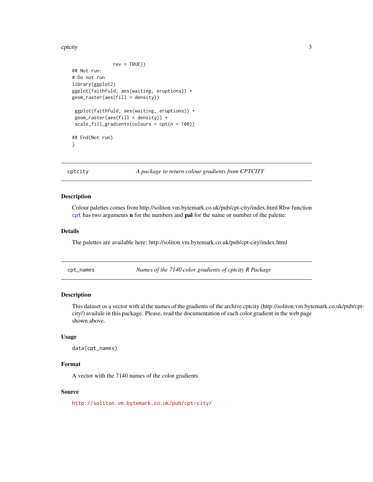<span id="page-2-0"></span>cptcity 3

```
rev = TRUE))
## Not run:
# Do not run
library(ggplot2)
ggplot(faithfuld, aes(waiting, eruptions)) +
geom_raster(aes(fill = density))
ggplot(faithfuld, aes(waiting, eruptions)) +
geom_raster(aes(fill = density)) +
scale_fill_gradientn(colours = cpt(n = 100))
## End(Not run)
}
```
cptcity *A package to return colour gradients from CPTCITY*

#### Description

Colour palettes comes from http://soliton.vm.bytemark.co.uk/pub/cpt-city/index.html Rhw function [cpt](#page-1-1) has two arguments n for the numbers and pal for the name or number of the palette:

#### Details

The palettes are available here: http://soliton.vm.bytemark.co.uk/pub/cpt-city/index.html

cpt\_names *Names of the 7140 color gradients of cptcity R Package*

#### Description

This dataset os a vector with al the names of the gradients of the archive cptcity (http://soliton.vm.bytemark.co.uk/pub/cptcity/) availale in this package. Please, read the documentation of each color gradient in the web page shown above.

#### Usage

data(cpt\_names)

#### Format

A vector with the 7140 names of the color gradients

#### Source

<http://soliton.vm.bytemark.co.uk/pub/cpt-city/>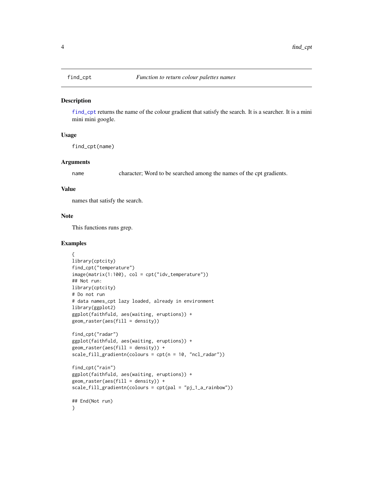<span id="page-3-1"></span><span id="page-3-0"></span>

#### Description

[find\\_cpt](#page-3-1) returns the name of the colour gradient that satisfy the search. It is a searcher. It is a mini mini mini google.

#### Usage

find\_cpt(name)

#### Arguments

name character; Word to be searched among the names of the cpt gradients.

#### Value

names that satisfy the search.

#### Note

This functions runs grep.

#### Examples

```
{
library(cptcity)
find_cpt("temperature")
image(matrix(1:100), col = cpt("idv_temperature"))
## Not run:
library(cptcity)
# Do not run
# data names_cpt lazy loaded, already in environment
library(ggplot2)
ggplot(faithfuld, aes(waiting, eruptions)) +
geom_raster(aes(fill = density))
find_cpt("radar")
ggplot(faithfuld, aes(waiting, eruptions)) +
geom_raster(aes(fill = density)) +
scale_fill_gradientn(colours = cpt(n = 10, "ncl_radar"))
find_cpt("rain")
ggplot(faithfuld, aes(waiting, eruptions)) +
geom_raster(aes(fill = density)) +
scale_fill_gradientn(colours = cpt(pal = "pj_1_a_rainbow"))
## End(Not run)
}
```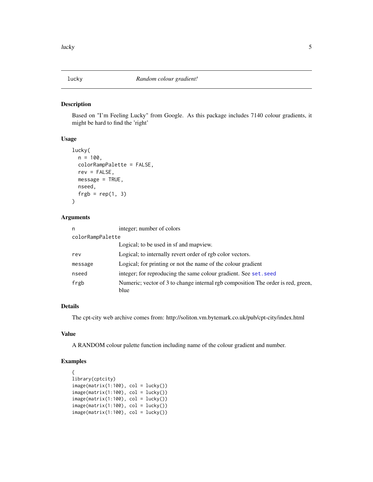<span id="page-4-0"></span>

#### Description

Based on "I'm Feeling Lucky" from Google. As this package includes 7140 colour gradients, it might be hard to find the 'right'

#### Usage

```
lucky(
  n = 100,
  colorRampPalette = FALSE,
  rev = FALSE,
  message = TRUE,
  nseed,
  frgb = rep(1, 3)\mathcal{E}
```
#### Arguments

| n                | integer; number of colors                                                                |
|------------------|------------------------------------------------------------------------------------------|
| colorRampPalette |                                                                                          |
|                  | Logical; to be used in sf and mapview.                                                   |
| rev              | Logical; to internally revert order of rgb color vectors.                                |
| message          | Logical; for printing or not the name of the colour gradient                             |
| nseed            | integer; for reproducing the same colour gradient. See set. seed                         |
| frgb             | Numeric; vector of 3 to change internal rgb composition The order is red, green,<br>blue |

#### Details

The cpt-city web archive comes from: http://soliton.vm.bytemark.co.uk/pub/cpt-city/index.html

#### Value

A RANDOM colour palette function including name of the colour gradient and number.

#### Examples

```
{
library(cptcity)
image(matrix(1:100), col = lucky())image(matrix(1:100), col = lucky())image(matrix(1:100), col = lucky())image(matrix(1:100), col = lucky())image(matrix(1:100), col = lucky())
```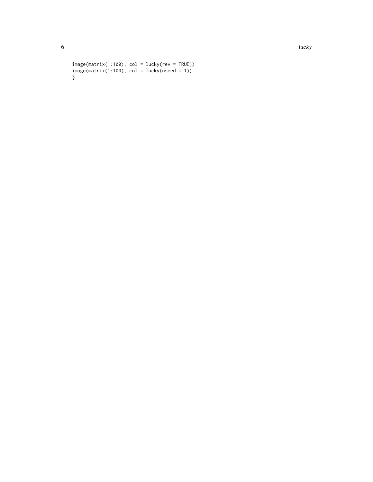6 lucky and the state of the state of the state of the state of the state of the state of the state of the state of the state of the state of the state of the state of the state of the state of the state of the state of th

```
image(matrix(1:100), col = lucky(rev = TRUE))image(matrix(1:100), col = lucky(nseed = 1))}
```